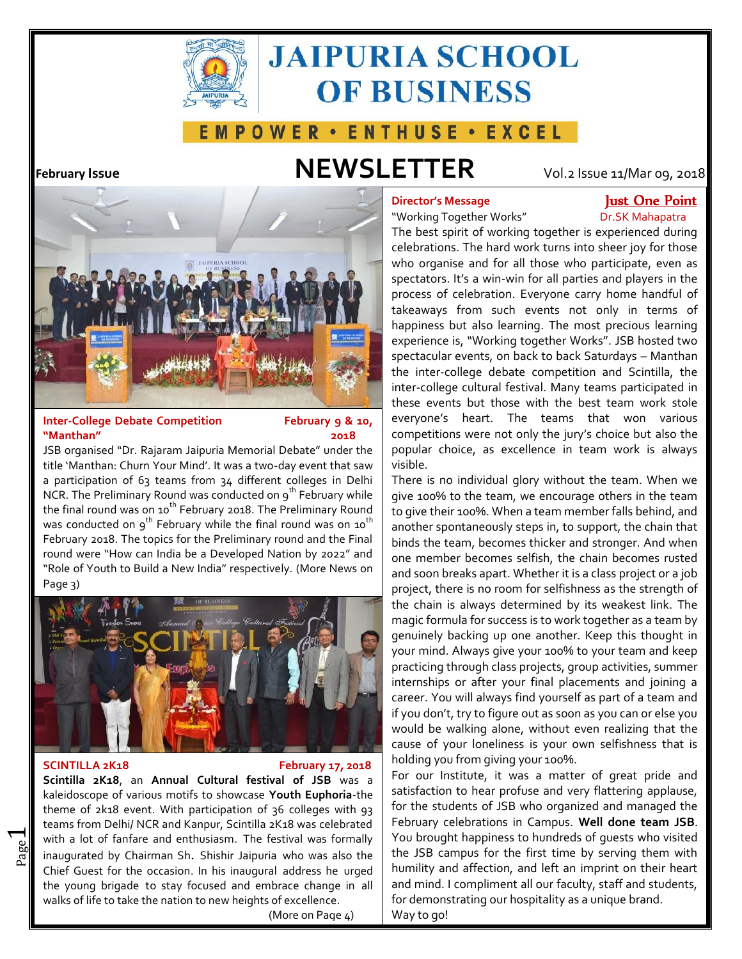

# **JAIPURIA SCHOOL OF BUSINESS**

## E M P O W E R · E N T H U S E · E X C E L

# **February Issue NEWSLETTER** Vol.2 Issue 11/Mar 09, 2018



### **Inter-College Debate Competition February 9 & 10, "Manthan" 2018**

JSB organised "Dr. Rajaram Jaipuria Memorial Debate" under the title 'Manthan: Churn Your Mind'. It was a two-day event that saw a participation of 63 teams from 34 different colleges in Delhi NCR. The Preliminary Round was conducted on 9<sup>th</sup> February while the final round was on 10<sup>th</sup> February 2018. The Preliminary Round was conducted on  $9^{th}$  February while the final round was on 10<sup>th</sup> February 2018. The topics for the Preliminary round and the Final round were "How can India be a Developed Nation by 2022" and "Role of Youth to Build a New India" respectively. (More News on Page 3)



 $\overline{\phantom{0}}$ 

### **SCINTILLA 2K18 February 17, 2018**

and inaugurated by Chairman Sh. Shishir Jaipuria who was also the with a lot of fanfare and enthusiasm. The festival was formally  $\mid$  You **Scintilla 2K18**, an **Annual Cultural festival of JSB** was a kaleidoscope of various motifs to showcase **Youth Euphoria**-the theme of 2k18 event. With participation of 36 colleges with 93 teams from Delhi/ NCR and Kanpur, Scintilla 2K18 was celebrated Chief Guest for the occasion. In his inaugural address he urged the young brigade to stay focused and embrace change in all walks of life to take the nation to new heights of excellence.

(More on Page  $\Delta$ )

## **Director's Message Just One Point**

"Working Together Works" Dr.SK Mahapatra

The best spirit of working together is experienced during celebrations. The hard work turns into sheer joy for those who organise and for all those who participate, even as spectators. It's a win-win for all parties and players in the process of celebration. Everyone carry home handful of takeaways from such events not only in terms of happiness but also learning. The most precious learning experience is, "Working together Works". JSB hosted two spectacular events, on back to back Saturdays – Manthan the inter-college debate competition and Scintilla, the inter-college cultural festival. Many teams participated in these events but those with the best team work stole everyone's heart. The teams that won various competitions were not only the jury's choice but also the popular choice, as excellence in team work is always visible.

There is no individual glory without the team. When we give 100% to the team, we encourage others in the team to give their 100%. When a team member falls behind, and another spontaneously steps in, to support, the chain that binds the team, becomes thicker and stronger. And when one member becomes selfish, the chain becomes rusted and soon breaks apart. Whether it is a class project or a job project, there is no room for selfishness as the strength of the chain is always determined by its weakest link. The magic formula for success is to work together as a team by genuinely backing up one another. Keep this thought in your mind. Always give your 100% to your team and keep practicing through class projects, group activities, summer internships or after your final placements and joining a career. You will always find yourself as part of a team and if you don't, try to figure out as soon as you can or else you would be walking alone, without even realizing that the cause of your loneliness is your own selfishness that is holding you from giving your 100%.

For our Institute, it was a matter of great pride and satisfaction to hear profuse and very flattering applause, for the students of JSB who organized and managed the February celebrations in Campus. **Well done team JSB**. You brought happiness to hundreds of guests who visited the JSB campus for the first time by serving them with humility and affection, and left an imprint on their heart and mind. I compliment all our faculty, staff and students, for demonstrating our hospitality as a unique brand. Way to go!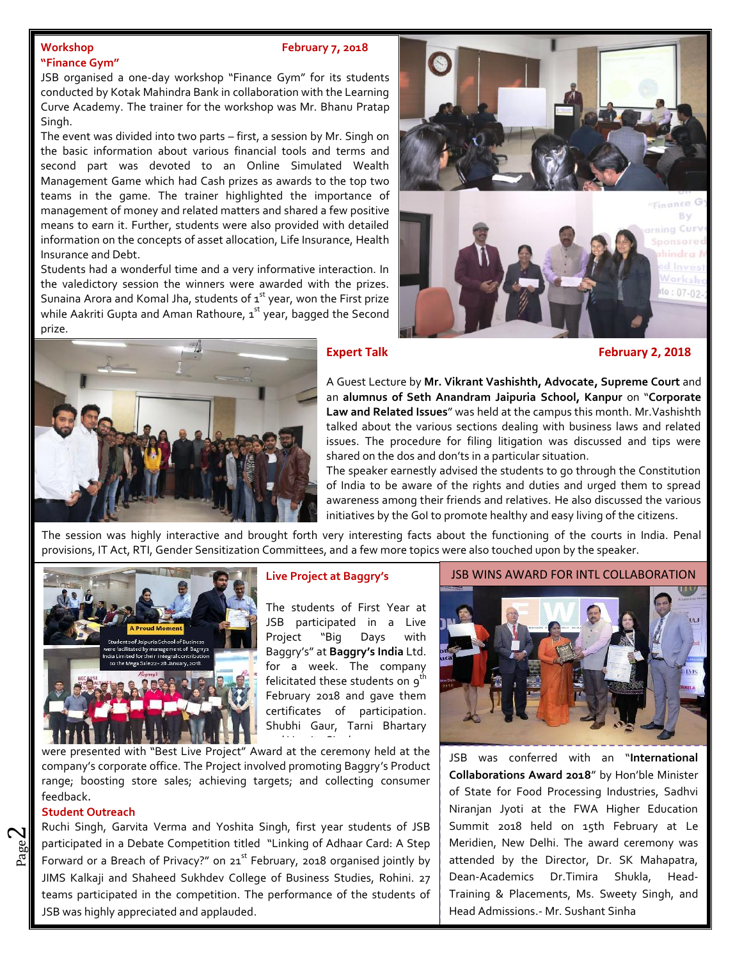### **Workshop February 7, 2018**

### **"Finance Gym"**

JSB organised a one-day workshop "Finance Gym" for its students conducted by Kotak Mahindra Bank in collaboration with the Learning Curve Academy. The trainer for the workshop was Mr. Bhanu Pratap Singh.

The event was divided into two parts – first, a session by Mr. Singh on the basic information about various financial tools and terms and second part was devoted to an Online Simulated Wealth Management Game which had Cash prizes as awards to the top two teams in the game. The trainer highlighted the importance of management of money and related matters and shared a few positive means to earn it. Further, students were also provided with detailed information on the concepts of asset allocation, Life Insurance, Health Insurance and Debt.

while Aakriti Gupta and Aman Rathoure, 1<sup>st</sup> year, bagged the Second Students had a wonderful time and a very informative interaction. In the valedictory session the winners were awarded with the prizes. Sunaina Arora and Komal Jha, students of  $1<sup>st</sup>$  year, won the First prize prize.





**Expert Talk February 2, 2018** 

A Guest Lecture by **Mr. Vikrant Vashishth, Advocate, Supreme Court** and an **alumnus of Seth Anandram Jaipuria School, Kanpur** on "**Corporate Law and Related Issues**" was held at the campus this month. Mr.Vashishth talked about the various sections dealing with business laws and related issues. The procedure for filing litigation was discussed and tips were shared on the dos and don'ts in a particular situation.

The speaker earnestly advised the students to go through the Constitution of India to be aware of the rights and duties and urged them to spread awareness among their friends and relatives. He also discussed the various initiatives by the GoI to promote healthy and easy living of the citizens.

The session was highly interactive and brought forth very interesting facts about the functioning of the courts in India. Penal provisions, IT Act, RTI, Gender Sensitization Committees, and a few more topics were also touched upon by the speaker.



### **Live Project at Baggry's**

The students of First Year at JSB participated in a Live Project "Big Days with Baggry's" at **Baggry's India** Ltd. for a week. The company felicitated these students on  $9^t$ February 2018 and gave them certificates of participation. Shubhi Gaur, Tarni Bhartary and Varnita Singh were presen-

were presented with "Best Live Project" Award at the ceremony held at the  $\begin{bmatrix} 1 & -1 \\ 1 & -1 \end{bmatrix}$ company's corporate office. The Project involved promoting Baggry's Product range; boosting store sales; achieving targets; and collecting consumer feedback.

### **Student Outreach**

 $\boldsymbol{\sim}$ 

စ္သူ participated in a Debate Competition titled "Linking of Adhaar Card: A Step | Meri<br>A | Forward or a Breach of Privacy?" on 21<sup>st</sup> February, 2018 organised jointly by | atter participated in a Debate Competition titled "Linking of Adhaar Card: A Step | Merid Ruchi Singh, Garvita Verma and Yoshita Singh, first year students of JSB JIMS Kalkaji and Shaheed Sukhdev College of Business Studies, Rohini. 27 teams participated in the competition. The performance of the students of JSB was highly appreciated and applauded.

JSB WINS AWARD FOR INTL COLLABORATION



JSB was conferred with an "**International Collaborations Award 2018**" by Hon'ble Minister of State for Food Processing Industries, Sadhvi Niranjan Jyoti at the FWA Higher Education Summit 2018 held on 15th February at Le Meridien, New Delhi. The award ceremony was attended by the Director, Dr. SK Mahapatra, Dean-Academics Dr.Timira Shukla, Head- Training & Placements, Ms. Sweety Singh, and Head Admissions.- Mr. Sushant Sinha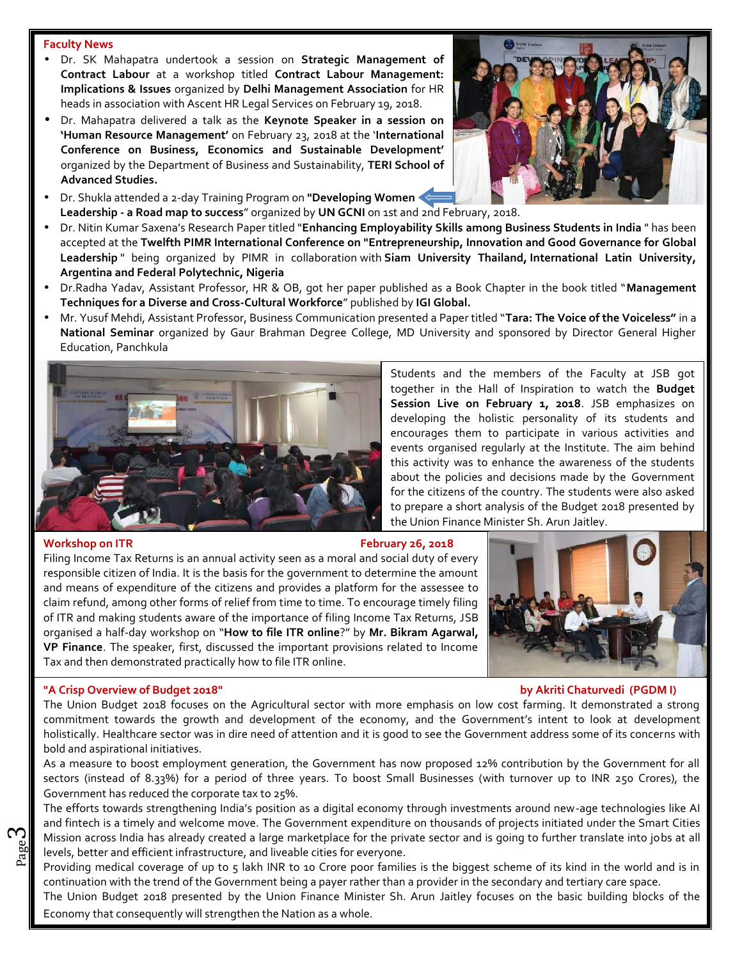### **Faculty News**

- Dr. SK Mahapatra undertook a session on **Strategic Management of Contract Labour** at a workshop titled **Contract Labour Management: Implications & Issues** organized by **Delhi Management Association** for HR heads in association with Ascent HR Legal Services on February 19, 2018.
- Dr. Mahapatra delivered a talk as the **Keynote Speaker in a session on 'Human Resource Management'** on February 23, 2018 at the '**International Conference on Business, Economics and Sustainable Development'** organized by the Department of Business and Sustainability, **TERI School of Advanced Studies.**
- Dr. Shukla attended a 2-day Training Program on **"Developing Women Leadership - a Road map to success**" organized by **UN GCNI** on 1st and 2nd February, 2018.
- Dr. Nitin Kumar Saxena's Research Paper titled "**Enhancing Employability Skills among Business Students in India** " has been accepted at the **Twelfth PIMR International Conference on "Entrepreneurship, Innovation and Good Governance for Global Leadership** " being organized by PIMR in collaboration with **Siam University Thailand, International Latin University, Argentina and Federal Polytechnic, Nigeria**
- Dr.Radha Yadav, Assistant Professor, HR & OB, got her paper published as a Book Chapter in the book titled "**Management Techniques for a Diverse and Cross-Cultural Workforce**" published by **IGIGlobal.**
- Mr. Yusuf Mehdi, Assistant Professor, Business Communication presented a Paper titled "**Tara: The Voice of the Voiceless"** in a **National Seminar** organized by Gaur Brahman Degree College, MD University and sponsored by Director General Higher Education, Panchkula



Students and the members of the Faculty at JSB got together in the Hall of Inspiration to watch the **Budget** Session Live on February 1, 2018. JSB emphasizes on developing the holistic personality of its students and encourages them to participate in various activities and events organised regularly at the Institute. The aim behind this activity was to enhance the awareness of the students about the policies and decisions made by the Government for the citizens of the country. The students were also asked to prepare a short analysis of the Budget 2018 presented by the Union Finance Minister Sh. Arun Jaitley.

#### **Workshop on ITR February 26, 2018**

ო

Filing Income Tax Returns is an annual activity seen as a moral and social duty of every responsible citizen of India. It is the basis for the government to determine the amount and means of expenditure of the citizens and provides a platform for the assessee to claim refund, among other forms of relief from time to time. To encourage timely filing of ITR and making students aware of the importance of filing Income Tax Returns, JSB organised a half-day workshop on "**How to file ITR online**?" by **Mr. Bikram Agarwal, VP Finance**. The speaker, first, discussed the important provisions related to Income Tax and then demonstrated practically how to file ITR online.



#### **"A Crisp Overview of Budget 2018" by Akriti Chaturvedi (PGDM I)**

The Union Budget 2018 focuses on the Agricultural sector with more emphasis on low cost farming. It demonstrated a strong commitment towards the growth and development of the economy, and the Government's intent to look at development holistically. Healthcare sector was in dire need of attention and it is good to see the Government address some of its concerns with bold and aspirational initiatives.

As a measure to boost employment generation, the Government has now proposed 12% contribution by the Government for all sectors (instead of 8.33%) for a period of three years. To boost Small Businesses (with turnover up to INR 250 Crores), the Government has reduced the corporate tax to 25%.

Page Interior across made nie an easy ensured a large mainteprise for the private<br>levels, better and efficient infrastructure, and liveable cities for everyone. Mission across India has already created a large marketplace for the private sector and is going to further translate into jobs at all  $\|$ The efforts towards strengthening India's position as a digital economy through investments around new-age technologies like AI and fintech is a timely and welcome move. The Government expenditure on thousands of projects initiated under the Smart Cities

Providing medical coverage of up to 5 lakh INR to 10 Crore poor families is the biggest scheme of its kind in the world and is in continuation with the trend of the Government being a payer rather than a provider in the secondary and tertiary care space.

The Union Budget 2018 presented by the Union Finance Minister Sh. Arun Jaitley focuses on the basic building blocks of the Economy that consequently will strengthen the Nation as a whole.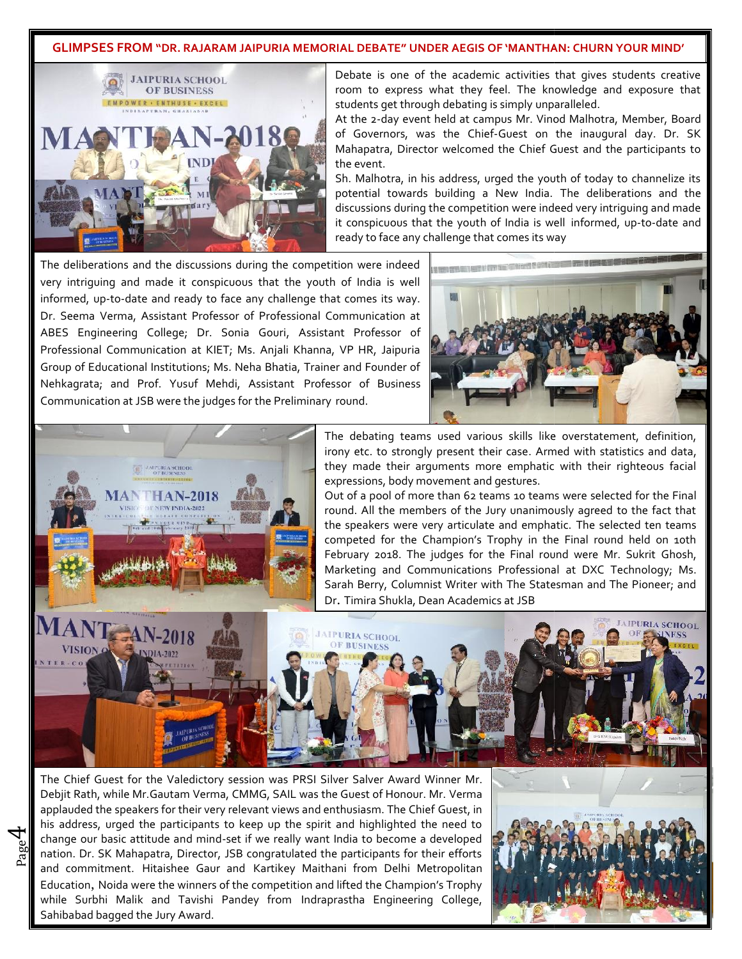### GLIMPSES FROM "DR. RAJARAM JAIPURIA MEMORIAL DEBATE" UNDER AEGIS OF 'MANTHAN: CHURN YOUR MIND'



Debate is one of the academic activities that gives students creative room to express what they feel. The knowledge and exposure that students get through debating is simply unparalleled. Debate is one of the academic activities that gives students creative<br>room to express what they feel. The knowledge and exposure that<br>students get through debating is simply unparalleled.<br>At the 2-day event held at campus

of Governors, was the Chief-Guest on the inaugural day. Dr. SK of Governors, was the Chief-Guest on the inaugural day. Dr. SK **that**<br>Mahapatra, Director welcomed the Chief Guest and the participants to the event.

Sh. Malhotra, in his address, urged the youth of today to channelize its potential towards building a New India. The deliberations and the discussions during the competition were indeed very intriguing and made it conspicuous that the youth of India is well informed, up-to-date and ready to face any challenge that comes its way tra, in his address, urged the youth of today to channelize its<br>towards building a New India. The deliberations and the<br>s during the competition were indeed very intriguing and made<br>yous that the youth of India is well inf

The deliberations and the discussions during the competition were indeed The deliberations and the discussions during the competition were indeed  $\begin{bmatrix} 1 & 0 \\ 0 & 1 \end{bmatrix}$ informed, up-to-date and ready to face any challenge that comes its way. Dr. Seema Verma, Assistant Professor of Professional Communication at informed, up-to-date and ready to face any challenge that comes its way.<br>Dr. Seema Verma, Assistant Professor of Professional Communication at<br>ABES Engineering College; Dr. Sonia Gouri, Assistant Professor of Professional Communication at KIET; Ms. Anjali Khanna, VP HR, Jaipuria Group of Educational Institutions; Ms. Neha Bhatia, Trainer and Founder of Nehkagrata; and Prof. Yusuf Mehdi, Assistant Professor of Business Communication at JSB were the judges for the Preliminary round. ional Institutions; Ms. Neha Bhatia, Trainer and Fo<br>d Prof. Yusuf Mehdi, Assistant Professor of<br>at JSB were the judges for the Preliminary round.





4

The debating teams used various skills like overstatement, definition, irony etc. to strongly present their case. Armed with statistics and data, they made their arguments more emphatic with their righteous facial expressions, body movement and gestures.

Out of a pool of more than 62 teams 10 teams were selected for the Final round. All the members of the Jury unanimously agreed to the fact that the speakers were very articulate and emphatic. The selected ten teams competed for the Champion's Trophy in the Final round held on 10th February 2018. The judges for the Final round were Mr. Sukrit Ghosh, Marketing and Communications Professional at DXC Technology; Ms. Sarah Berry, Columnist Writer with The Statesman and The Pioneer; and Dr. Timira Shukla, Dean Academics at JSB



Page nation. Dr. SK Mahapatra, Director, JSB congratulated the participants for their efforts change our basic attitude and mind-set if we really want India to become a developed The Chief Guest for the Valedictory session was PRSI Silver Salver Award Winner Mr. Debjit Rath, while Mr.Gautam Verma, CMMG, SAIL was the Guest of Honour. Mr. Verma applauded the speakers for their very relevant views and enthusiasm. The Chief Guest, in  $\Box$ his address, urged the participants to keep up the spirit and highlighted the need to and commitment. Hitaishee Gaur and Kartikey Maithani from Delhi Metropolitan Education, Noida were the winners of the competition and lifted the Champion's Trophy while Surbhi Malik and Tavishi Pandey from Indraprastha Engineering College, Sahibabad bagged the Jury Award.